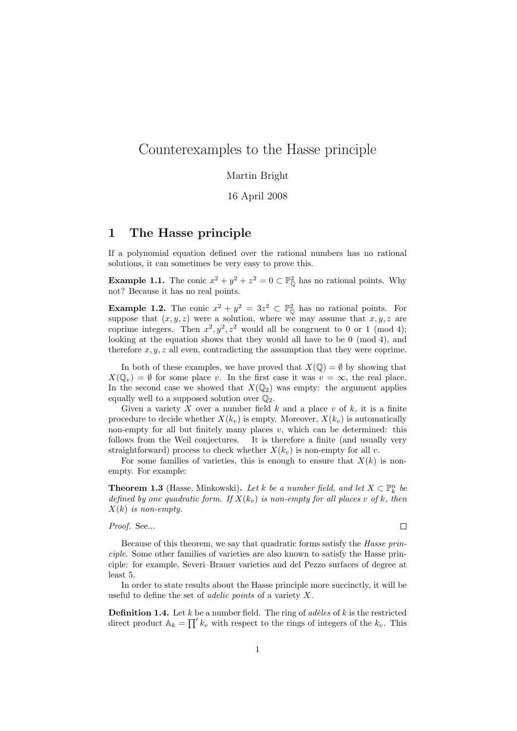# Counterexamples to the Hasse principle

#### Martin Bright

16 April 2008

### 1 The Hasse principle

If a polynomial equation defined over the rational numbers has no rational solutions, it can sometimes be very easy to prove this.

**Example 1.1.** The conic  $x^2 + y^2 + z^2 = 0 \subset \mathbb{P}_{\mathbb{Q}}^2$  has no rational points. Why not? Because it has no real points.

**Example 1.2.** The conic  $x^2 + y^2 = 3z^2 \text{ }\subset \mathbb{P}_{\mathbb{Q}}^2$  has no rational points. For suppose that  $(x, y, z)$  were a solution, where we may assume that  $x, y, z$  are coprime integers. Then  $x^2, y^2, z^2$  would all be congruent to 0 or 1 (mod 4); looking at the equation shows that they would all have to be 0 (mod 4), and therefore  $x, y, z$  all even, contradicting the assumption that they were coprime.

In both of these examples, we have proved that  $X(\mathbb{Q}) = \emptyset$  by showing that  $X(\mathbb{Q}_v) = \emptyset$  for some place v. In the first case it was  $v = \infty$ , the real place. In the second case we showed that  $X(\mathbb{Q}_2)$  was empty: the argument applies equally well to a supposed solution over  $\mathbb{Q}_2$ .

Given a variety X over a number field  $k$  and a place v of  $k$ , it is a finite procedure to decide whether  $X(k_v)$  is empty. Moreover,  $X(k_v)$  is automatically non-empty for all but finitely many places  $v$ , which can be determined: this follows from the Weil conjectures. It is therefore a finite (and usually very straightforward) process to check whether  $X(k_v)$  is non-empty for all v.

For some families of varieties, this is enough to ensure that  $X(k)$  is nonempty. For example:

**Theorem 1.3** (Hasse, Minkowski). Let k be a number field, and let  $X \subset \mathbb{P}_k^n$  be defined by one quadratic form. If  $X(k_v)$  is non-empty for all places v of k, then  $X(k)$  is non-empty.

Proof. See...

 $\Box$ 

Because of this theorem, we say that quadratic forms satisfy the Hasse principle. Some other families of varieties are also known to satisfy the Hasse principle: for example, Severi–Brauer varieties and del Pezzo surfaces of degree at least 5.

In order to state results about the Hasse principle more succinctly, it will be useful to define the set of *adelic points* of a variety  $X$ .

**Definition 1.4.** Let k be a number field. The ring of *adèles* of k is the restricted direct product  $A_k = \prod' k_v$  with respect to the rings of integers of the  $k_v$ . This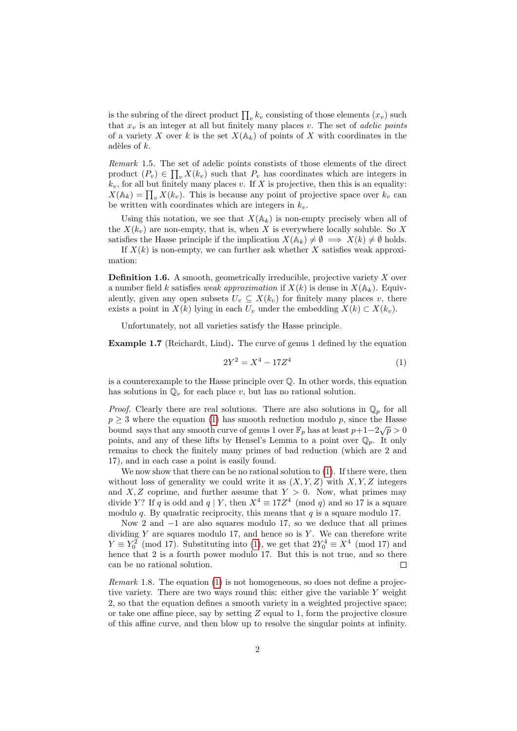is the subring of the direct product  $\prod_{v} k_v$  consisting of those elements  $(x_v)$  such that  $x_v$  is an integer at all but finitely many places v. The set of *adelic points* of a variety X over k is the set  $X(\mathbb{A}_k)$  of points of X with coordinates in the adèles of  $k$ .

Remark 1.5. The set of adelic points constists of those elements of the direct product  $(P_v) \in \prod_v X(k_v)$  such that  $P_v$  has coordinates which are integers in  $k_v$ , for all but finitely many places v. If X is projective, then this is an equality:  $X(\mathbb{A}_k) = \prod_v X(k_v)$ . This is because any point of projective space over  $k_v$  can be written with coordinates which are integers in  $k_v$ .

Using this notation, we see that  $X(\mathbb{A}_k)$  is non-empty precisely when all of the  $X(k_v)$  are non-empty, that is, when X is everywhere locally soluble. So X satisfies the Hasse principle if the implication  $X(\mathbb{A}_k) \neq \emptyset \implies X(k) \neq \emptyset$  holds.

If  $X(k)$  is non-empty, we can further ask whether X satisfies weak approximation:

**Definition 1.6.** A smooth, geometrically irreducible, projective variety  $X$  over a number field k satisfies weak approximation if  $X(k)$  is dense in  $X(\mathbb{A}_k)$ . Equivalently, given any open subsets  $U_v \subseteq X(k_v)$  for finitely many places v, there exists a point in  $X(k)$  lying in each  $U_v$  under the embedding  $X(k) \subset X(k_v)$ .

Unfortunately, not all varieties satisfy the Hasse principle.

Example 1.7 (Reichardt, Lind). The curve of genus 1 defined by the equation

<span id="page-1-0"></span>
$$
2Y^2 = X^4 - 17Z^4 \tag{1}
$$

is a counterexample to the Hasse principle over Q. In other words, this equation has solutions in  $\mathbb{Q}_v$  for each place v, but has no rational solution.

*Proof.* Clearly there are real solutions. There are also solutions in  $\mathbb{Q}_p$  for all  $p \geq 3$  where the equation [\(1\)](#page-1-0) has smooth reduction modulo p, since the Hasse bound says that any smooth curve of genus 1 over  $\mathbb{F}_p$  has at least  $p+1-2\sqrt{p} > 0$ points, and any of these lifts by Hensel's Lemma to a point over  $\mathbb{Q}_p$ . It only remains to check the finitely many primes of bad reduction (which are 2 and 17), and in each case a point is easily found.

We now show that there can be no rational solution to  $(1)$ . If there were, then without loss of generality we could write it as  $(X, Y, Z)$  with  $X, Y, Z$  integers and  $X, Z$  coprime, and further assume that  $Y > 0$ . Now, what primes may divide Y? If q is odd and  $q \mid Y$ , then  $X^4 \equiv 17Z^4 \pmod{q}$  and so 17 is a square modulo q. By quadratic reciprocity, this means that  $q$  is a square modulo 17.

Now 2 and −1 are also squares modulo 17, so we deduce that all primes dividing  $Y$  are squares modulo 17, and hence so is  $Y$ . We can therefore write  $Y \equiv Y_0^2 \pmod{17}$ . Substituting into [\(1\)](#page-1-0), we get that  $2Y_0^4 \equiv X^4 \pmod{17}$  and hence that 2 is a fourth power modulo 17. But this is not true, and so there can be no rational solution.  $\Box$ 

Remark 1.8. The equation [\(1\)](#page-1-0) is not homogeneous, so does not define a projective variety. There are two ways round this: either give the variable Y weight 2, so that the equation defines a smooth variety in a weighted projective space; or take one affine piece, say by setting  $Z$  equal to 1, form the projective closure of this affine curve, and then blow up to resolve the singular points at infinity.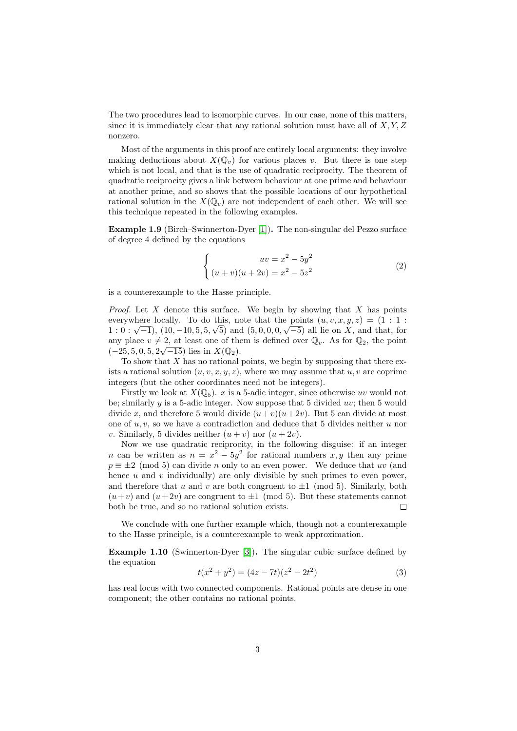The two procedures lead to isomorphic curves. In our case, none of this matters, since it is immediately clear that any rational solution must have all of  $X, Y, Z$ nonzero.

Most of the arguments in this proof are entirely local arguments: they involve making deductions about  $X(\mathbb{Q}_v)$  for various places v. But there is one step which is not local, and that is the use of quadratic reciprocity. The theorem of quadratic reciprocity gives a link between behaviour at one prime and behaviour at another prime, and so shows that the possible locations of our hypothetical rational solution in the  $X(\mathbb{Q}_v)$  are not independent of each other. We will see this technique repeated in the following examples.

Example 1.9 (Birch–Swinnerton-Dyer [\[1\]](#page-5-0)). The non-singular del Pezzo surface of degree 4 defined by the equations

$$
\begin{cases}\n uv = x^2 - 5y^2 \\
(u+v)(u+2v) = x^2 - 5z^2\n\end{cases}
$$
\n(2)

is a counterexample to the Hasse principle.

*Proof.* Let X denote this surface. We begin by showing that X has points everywhere locally. To do this, note that the points  $(u, v, x, y, z) = (1 : 1 :$ everywhere locally. To do this, note that the points  $(u, v, x, y, z) = (1 : 1 : 1 : 0 : \sqrt{-1})$ ,  $(10, -10, 5, 5, \sqrt{5})$  and  $(5, 0, 0, 0, \sqrt{-5})$  all lie on X, and that, for any place  $v \neq 2$ , at least one of them is defined over  $\mathbb{Q}_v$ . As for  $\mathbb{Q}_2$ , the point  $(-25, 5, 0, 5, 2\sqrt{-15})$  lies in  $X(\mathbb{Q}_2)$ .

To show that  $X$  has no rational points, we begin by supposing that there exists a rational solution  $(u, v, x, y, z)$ , where we may assume that  $u, v$  are coprime integers (but the other coordinates need not be integers).

Firstly we look at  $X(\mathbb{Q}_5)$ . x is a 5-adic integer, since otherwise uv would not be; similarly  $y$  is a 5-adic integer. Now suppose that 5 divided  $uv$ ; then 5 would divide x, and therefore 5 would divide  $(u+v)(u+2v)$ . But 5 can divide at most one of  $u, v$ , so we have a contradiction and deduce that 5 divides neither u nor v. Similarly, 5 divides neither  $(u + v)$  nor  $(u + 2v)$ .

Now we use quadratic reciprocity, in the following disguise: if an integer *n* can be written as  $n = x^2 - 5y^2$  for rational numbers x, y then any prime  $p \equiv \pm 2 \pmod{5}$  can divide n only to an even power. We deduce that uv (and hence  $u$  and  $v$  individually) are only divisible by such primes to even power, and therefore that u and v are both congruent to  $\pm 1 \pmod{5}$ . Similarly, both  $(u+v)$  and  $(u+2v)$  are congruent to  $\pm 1 \pmod{5}$ . But these statements cannot both be true, and so no rational solution exists.  $\Box$ 

We conclude with one further example which, though not a counterexample to the Hasse principle, is a counterexample to weak approximation.

Example 1.10 (Swinnerton-Dyer [\[3\]](#page-5-1)). The singular cubic surface defined by the equation

<span id="page-2-0"></span>
$$
t(x2 + y2) = (4z - 7t)(z2 - 2t2)
$$
\n(3)

has real locus with two connected components. Rational points are dense in one component; the other contains no rational points.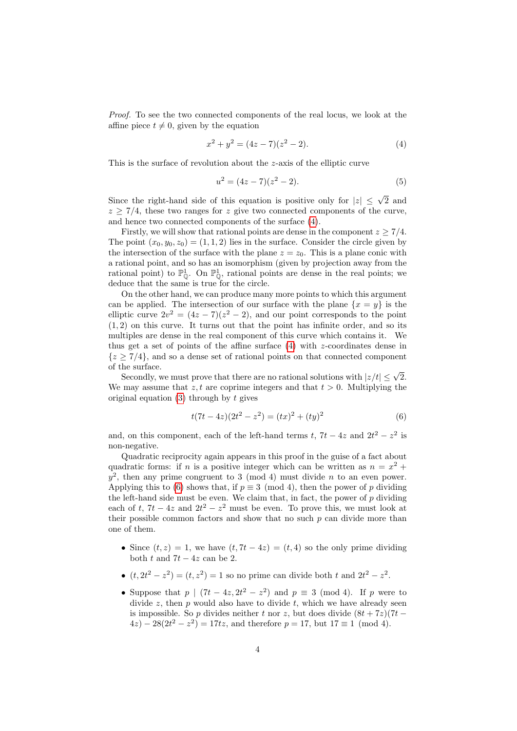Proof. To see the two connected components of the real locus, we look at the affine piece  $t \neq 0$ , given by the equation

<span id="page-3-0"></span>
$$
x^2 + y^2 = (4z - 7)(z^2 - 2). \tag{4}
$$

This is the surface of revolution about the z-axis of the elliptic curve

$$
u^2 = (4z - 7)(z^2 - 2). \tag{5}
$$

Since the right-hand side of this equation is positive only for  $|z| \leq \sqrt{2}$  and  $z \geq \frac{7}{4}$ , these two ranges for z give two connected components of the curve, and hence two connected components of the surface [\(4\)](#page-3-0).

Firstly, we will show that rational points are dense in the component  $z \geq 7/4$ . The point  $(x_0, y_0, z_0) = (1, 1, 2)$  lies in the surface. Consider the circle given by the intersection of the surface with the plane  $z = z_0$ . This is a plane conic with a rational point, and so has an isomorphism (given by projection away from the rational point) to  $\mathbb{P}^1_{\mathbb{Q}}$ . On  $\mathbb{P}^1_{\mathbb{Q}}$ , rational points are dense in the real points; we deduce that the same is true for the circle.

On the other hand, we can produce many more points to which this argument can be applied. The intersection of our surface with the plane  $\{x = y\}$  is the elliptic curve  $2v^2 = (4z - 7)(z^2 - 2)$ , and our point corresponds to the point  $(1, 2)$  on this curve. It turns out that the point has infinite order, and so its multiples are dense in the real component of this curve which contains it. We thus get a set of points of the affine surface  $(4)$  with z-coordinates dense in  ${z \geq 7/4}$ , and so a dense set of rational points on that connected component of the surface.

he surface.<br>Secondly, we must prove that there are no rational solutions with  $|z/t| \leq \sqrt{2}$ . We may assume that z, t are coprime integers and that  $t > 0$ . Multiplying the original equation  $(3)$  through by t gives

<span id="page-3-1"></span>
$$
t(7t - 4z)(2t2 - z2) = (tx)2 + (ty)2
$$
 (6)

and, on this component, each of the left-hand terms t,  $7t - 4z$  and  $2t^2 - z^2$  is non-negative.

Quadratic reciprocity again appears in this proof in the guise of a fact about quadratic forms: if n is a positive integer which can be written as  $n = x^2 +$  $y^2$ , then any prime congruent to 3 (mod 4) must divide n to an even power. Applying this to [\(6\)](#page-3-1) shows that, if  $p \equiv 3 \pmod{4}$ , then the power of p dividing the left-hand side must be even. We claim that, in fact, the power of  $p$  dividing each of t,  $7t - 4z$  and  $2t^2 - z^2$  must be even. To prove this, we must look at their possible common factors and show that no such  $p$  can divide more than one of them.

- Since  $(t, z) = 1$ , we have  $(t, 7t 4z) = (t, 4)$  so the only prime dividing both t and  $7t - 4z$  can be 2.
- $(t, 2t^2 z^2) = (t, z^2) = 1$  so no prime can divide both t and  $2t^2 z^2$ .
- Suppose that  $p \mid (7t 4z, 2t^2 z^2)$  and  $p \equiv 3 \pmod{4}$ . If p were to divide  $z$ , then  $p$  would also have to divide  $t$ , which we have already seen is impossible. So p divides neither t nor z, but does divide  $(8t + 7z)(7t 4z - 28(2t^2 - z^2) = 17tz$ , and therefore  $p = 17$ , but  $17 \equiv 1 \pmod{4}$ .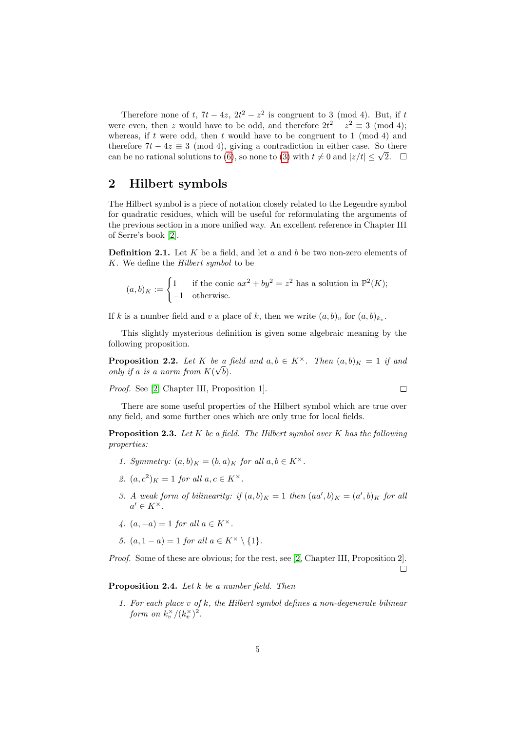Therefore none of t,  $7t - 4z$ ,  $2t^2 - z^2$  is congruent to 3 (mod 4). But, if t were even, then z would have to be odd, and therefore  $2t^2 - z^2 \equiv 3 \pmod{4}$ ; whereas, if t were odd, then t would have to be congruent to 1 (mod 4) and therefore  $7t - 4z \equiv 3 \pmod{4}$ , giving a contradiction in either case. So there therefore  $t - 4z \equiv 3 \pmod{4}$ , giving a contradiction in either case. So than be no rational solutions to [\(6\)](#page-3-1), so none to [\(3\)](#page-2-0) with  $t \neq 0$  and  $|z/t| \leq \sqrt{2}$ .

### 2 Hilbert symbols

The Hilbert symbol is a piece of notation closely related to the Legendre symbol for quadratic residues, which will be useful for reformulating the arguments of the previous section in a more unified way. An excellent reference in Chapter III of Serre's book [\[2\]](#page-5-2).

**Definition 2.1.** Let K be a field, and let a and b be two non-zero elements of K. We define the Hilbert symbol to be

$$
(a, b)_K := \begin{cases} 1 & \text{if the conic } ax^2 + by^2 = z^2 \text{ has a solution in } \mathbb{P}^2(K); \\ -1 & \text{otherwise.} \end{cases}
$$

If k is a number field and v a place of k, then we write  $(a, b)_v$  for  $(a, b)_{k_v}$ .

This slightly mysterious definition is given some algebraic meaning by the following proposition.

**Proposition 2.2.** Let K be a field and  $a, b \in K^{\times}$ . Then  $(a, b)_{K} = 1$  if and only if a is a norm from  $K(\sqrt{b})$ .

Proof. See [\[2,](#page-5-2) Chapter III, Proposition 1].

$$
\square
$$

There are some useful properties of the Hilbert symbol which are true over any field, and some further ones which are only true for local fields.

**Proposition 2.3.** Let  $K$  be a field. The Hilbert symbol over  $K$  has the following properties:

- 1. Symmetry:  $(a, b)_K = (b, a)_K$  for all  $a, b \in K^{\times}$ .
- 2.  $(a, c^2)_K = 1$  for all  $a, c \in K^\times$ .
- 3. A weak form of bilinearity: if  $(a, b)_K = 1$  then  $(aa', b)_K = (a', b)_K$  for all  $a' \in K^{\times}$ .
- 4.  $(a, -a) = 1$  for all  $a \in K^{\times}$ .
- 5.  $(a, 1 a) = 1$  for all  $a \in K^{\times} \setminus \{1\}$ .

Proof. Some of these are obvious; for the rest, see [\[2,](#page-5-2) Chapter III, Proposition 2].  $\Box$ 

#### Proposition 2.4. Let k be a number field. Then

1. For each place  $v$  of  $k$ , the Hilbert symbol defines a non-degenerate bilinear form on  $k_v^{\times}/(k_v^{\times})^2$ .